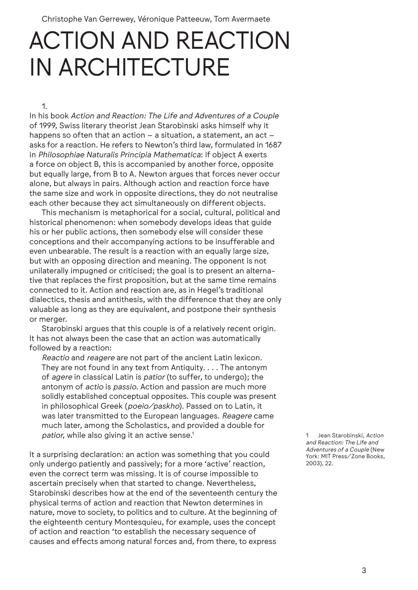Christophe Van Gerrewey, Véronique Patteeuw, Tom Avermaete

# ACTION AND REACTION IN ARCHITECTURE

1.

In his book *Action and Reaction: The Life and Adventures of a Couple* of 1999, Swiss literary theorist Jean Starobinski asks himself why it happens so often that an action – a situation, a statement, an act – asks for a reaction. He refers to Newton's third law, formulated in 1687 in *Philosophiae Naturalis Principia Mathematica*: if object A exerts a force on object B, this is accompanied by another force, opposite but equally large, from B to A. Newton argues that forces never occur alone, but always in pairs. Although action and reaction force have the same size and work in opposite directions, they do not neutralise each other because they act simultaneously on different objects.

This mechanism is metaphorical for a social, cultural, political and historical phenomenon: when somebody develops ideas that guide his or her public actions, then somebody else will consider these conceptions and their accompanying actions to be insufferable and even unbearable. The result is a reaction with an equally large size, but with an opposing direction and meaning. The opponent is not unilaterally impugned or criticised; the goal is to present an alternative that replaces the first proposition, but at the same time remains connected to it. Action and reaction are, as in Hegel's traditional dialectics, thesis and antithesis, with the difference that they are only valuable as long as they are equivalent, and postpone their synthesis or merger.

Starobinski argues that this couple is of a relatively recent origin. It has not always been the case that an action was automatically followed by a reaction:

*Reactio* and *reagere* are not part of the ancient Latin lexicon. They are not found in any text from Antiquity. . . . The antonym of *agere* in classical Latin is *patior* (to suffer, to undergo); the antonym of *actio* is *passio*. Action and passion are much more solidly established conceptual opposites. This couple was present in philosophical Greek (*poeio/paskho*). Passed on to Latin, it was later transmitted to the European languages. *Reagere* came much later, among the Scholastics, and provided a double for patior, while also giving it an active sense.<sup>1</sup>

It a surprising declaration: an action was something that you could only undergo patiently and passively; for a more 'active' reaction, even the correct term was missing. It is of course impossible to ascertain precisely when that started to change. Nevertheless, Starobinski describes how at the end of the seventeenth century the physical terms of action and reaction that Newton determines in nature, move to society, to politics and to culture. At the beginning of the eighteenth century Montesquieu, for example, uses the concept of action and reaction 'to establish the necessary sequence of causes and effects among natural forces and, from there, to express

1 Jean Starobinski, *Action and Reaction: The Life and Adventures of a Couple* (New York: MIT Press/Zone Books, 2003), 22.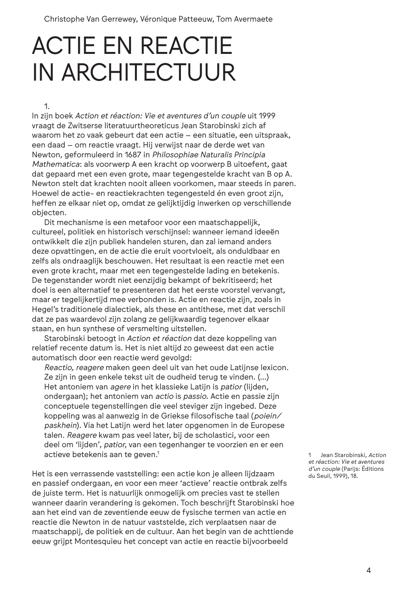Christophe Van Gerrewey, Véronique Patteeuw, Tom Avermaete

# ACTIE EN REACTIE IN ARCHITECTUUR

1.

In zijn boek *Action et réaction: Vie et aventures d'un couple* uit 1999 vraagt de Zwitserse literatuurtheoreticus Jean Starobinski zich af waarom het zo vaak gebeurt dat een actie – een situatie, een uitspraak, een daad – om reactie vraagt. Hij verwijst naar de derde wet van Newton, geformuleerd in 1687 in *Philosophiae Naturalis Principia Mathematica*: als voorwerp A een kracht op voorwerp B uitoefent, gaat dat gepaard met een even grote, maar tegengestelde kracht van B op A. Newton stelt dat krachten nooit alleen voorkomen, maar steeds in paren. Hoewel de actie- en reactiekrachten tegengesteld én even groot zijn, heffen ze elkaar niet op, omdat ze gelijktijdig inwerken op verschillende objecten.

Dit mechanisme is een metafoor voor een maatschappelijk, cultureel, politiek en historisch verschijnsel: wanneer iemand ideeën ontwikkelt die zijn publiek handelen sturen, dan zal iemand anders deze opvattingen, en de actie die eruit voortvloeit, als onduldbaar en zelfs als ondraaglijk beschouwen. Het resultaat is een reactie met een even grote kracht, maar met een tegengestelde lading en betekenis. De tegenstander wordt niet eenzijdig bekampt of bekritiseerd; het doel is een alternatief te presenteren dat het eerste voorstel vervangt, maar er tegelijkertijd mee verbonden is. Actie en reactie zijn, zoals in Hegel's traditionele dialectiek, als these en antithese, met dat verschil dat ze pas waardevol zijn zolang ze gelijkwaardig tegenover elkaar staan, en hun synthese of versmelting uitstellen.

Starobinski betoogt in *Action et réaction* dat deze koppeling van relatief recente datum is. Het is niet altijd zo geweest dat een actie automatisch door een reactie werd gevolgd:

*Reactio, reagere* maken geen deel uit van het oude Latijnse lexicon. Ze zijn in geen enkele tekst uit de oudheid terug te vinden. (…) Het antoniem van *agere* in het klassieke Latijn is *patior* (lijden, ondergaan); het antoniem van *actio* is *passio*. Actie en passie zijn conceptuele tegenstellingen die veel steviger zijn ingebed. Deze koppeling was al aanwezig in de Griekse filosofische taal (*poiein*/ *paskhein*). Via het Latijn werd het later opgenomen in de Europese talen. *Reagere* kwam pas veel later, bij de scholastici, voor een deel om 'lijden', *patior*, van een tegenhanger te voorzien en er een actieve betekenis aan te geven.<sup>1</sup>

Het is een verrassende vaststelling: een actie kon je alleen lijdzaam en passief ondergaan, en voor een meer 'actieve' reactie ontbrak zelfs de juiste term. Het is natuurlijk onmogelijk om precies vast te stellen wanneer daarin verandering is gekomen. Toch beschrijft Starobinski hoe aan het eind van de zeventiende eeuw de fysische termen van actie en reactie die Newton in de natuur vaststelde, zich verplaatsen naar de maatschappij, de politiek en de cultuur. Aan het begin van de achttiende eeuw grijpt Montesquieu het concept van actie en reactie bijvoorbeeld

1 Jean Starobinski, *Action et réaction: Vie et aventures d'un couple* (Parijs: Éditions du Seuil, 1999), 18.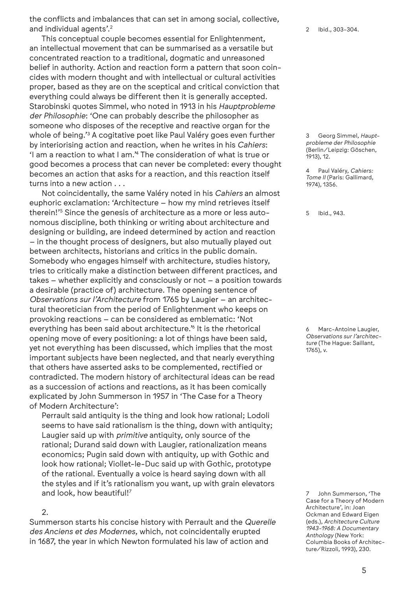the conflicts and imbalances that can set in among social, collective, and individual agents'.<sup>2</sup>

This conceptual couple becomes essential for Enlightenment, an intellectual movement that can be summarised as a versatile but concentrated reaction to a traditional, dogmatic and unreasoned belief in authority. Action and reaction form a pattern that soon coincides with modern thought and with intellectual or cultural activities proper, based as they are on the sceptical and critical conviction that everything could always be different then it is generally accepted. Starobinski quotes Simmel, who noted in 1913 in his *Hauptprobleme der Philosophie*: 'One can probably describe the philosopher as someone who disposes of the receptive and reactive organ for the whole of being.'<sup>3</sup> A cogitative poet like Paul Valéry goes even further by interiorising action and reaction, when he writes in his *Cahiers*: 'I am a reaction to what I am.'4 The consideration of what is true or good becomes a process that can never be completed: every thought becomes an action that asks for a reaction, and this reaction itself turns into a new action . . .

Not coincidentally, the same Valéry noted in his *Cahiers* an almost euphoric exclamation: 'Architecture – how my mind retrieves itself therein!'<sup>5</sup> Since the genesis of architecture as a more or less autonomous discipline, both thinking or writing about architecture and designing or building, are indeed determined by action and reaction – in the thought process of designers, but also mutually played out between architects, historians and critics in the public domain. Somebody who engages himself with architecture, studies history, tries to critically make a distinction between different practices, and takes – whether explicitly and consciously or not – a position towards a desirable (practice of) architecture. The opening sentence of *Observations sur l'Architecture* from 1765 by Laugier – an architectural theoretician from the period of Enlightenment who keeps on provoking reactions – can be considered as emblematic: 'Not everything has been said about architecture.'6 It is the rhetorical opening move of every positioning: a lot of things have been said, yet not everything has been discussed, which implies that the most important subjects have been neglected, and that nearly everything that others have asserted asks to be complemented, rectified or contradicted. The modern history of architectural ideas can be read as a succession of actions and reactions, as it has been comically explicated by John Summerson in 1957 in 'The Case for a Theory of Modern Architecture':

Perrault said antiquity is the thing and look how rational; Lodoli seems to have said rationalism is the thing, down with antiquity; Laugier said up with *primitive* antiquity, only source of the rational; Durand said down with Laugier, rationalization means economics; Pugin said down with antiquity, up with Gothic and look how rational; Viollet-le-Duc said up with Gothic, prototype of the rational. Eventually a voice is heard saying down with all the styles and if it's rationalism you want, up with grain elevators and look, how beautiful!7

### 2.

Summerson starts his concise history with Perrault and the *Querelle des Anciens et des Modernes*, which, not coincidentally erupted in 1687, the year in which Newton formulated his law of action and

2 Ibid., 303-304.

3 Georg Simmel, *Hauptprobleme der Philosophie* (Berlin/Leipzig: Göschen, 1913), 12.

4 Paul Valéry, *Cahiers: Tome II* (Paris: Gallimard, 1974), 1356.

5 Ibid., 943.

6 Marc-Antoine Laugier, *Observations sur l'architecture* (The Hague: Saillant, 1765), v.

John Summerson, 'The Case for a Theory of Modern Architecture', in: Joan Ockman and Edward Eigen (eds.), *Architecture Culture 1943-1968: A Documentary Anthology* (New York: Columbia Books of Architecture/Rizzoli, 1993), 230.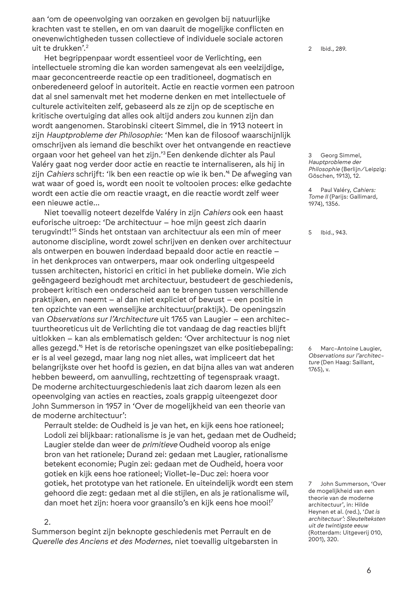aan 'om de opeenvolging van oorzaken en gevolgen bij natuurlijke krachten vast te stellen, en om van daaruit de mogelijke conflicten en onevenwichtigheden tussen collectieve of individuele sociale actoren uit te drukken'.2

Het begrippenpaar wordt essentieel voor de Verlichting, een intellectuele stroming die kan worden samengevat als een veelzijdige, maar geconcentreerde reactie op een traditioneel, dogmatisch en onberedeneerd geloof in autoriteit. Actie en reactie vormen een patroon dat al snel samenvalt met het moderne denken en met intellectuele of culturele activiteiten zelf, gebaseerd als ze zijn op de sceptische en kritische overtuiging dat alles ook altijd anders zou kunnen zijn dan wordt aangenomen. Starobinski citeert Simmel, die in 1913 noteert in zijn *Hauptprobleme der Philosophie*: 'Men kan de filosoof waarschijnlijk omschrijven als iemand die beschikt over het ontvangende en reactieve orgaan voor het geheel van het zijn.'3 Een denkende dichter als Paul Valéry gaat nog verder door actie en reactie te internaliseren, als hij in zijn *Cahiers* schrijft: 'Ik ben een reactie op wie ik ben.'4 De afweging van wat waar of goed is, wordt een nooit te voltooien proces: elke gedachte wordt een actie die om reactie vraagt, en die reactie wordt zelf weer een nieuwe actie…

Niet toevallig noteert dezelfde Valéry in zijn *Cahiers* ook een haast euforische uitroep: 'De architectuur – hoe mijn geest zich daarin terugvindt!'5 Sinds het ontstaan van architectuur als een min of meer autonome discipline, wordt zowel schrijven en denken over architectuur als ontwerpen en bouwen inderdaad bepaald door actie en reactie – in het denkproces van ontwerpers, maar ook onderling uitgespeeld tussen architecten, historici en critici in het publieke domein. Wie zich geëngageerd bezighoudt met architectuur, bestudeert de geschiedenis, probeert kritisch een onderscheid aan te brengen tussen verschillende praktijken, en neemt – al dan niet expliciet of bewust – een positie in ten opzichte van een wenselijke architectuur(praktijk). De openingszin van *Observations sur l'Architecture* uit 1765 van Laugier – een architectuurtheoreticus uit de Verlichting die tot vandaag de dag reacties blijft uitlokken – kan als emblematisch gelden: 'Over architectuur is nog niet alles gezegd.'6 Het is de retorische openingszet van elke positiebepaling: er is al veel gezegd, maar lang nog niet alles, wat impliceert dat het belangrijkste over het hoofd is gezien, en dat bijna alles van wat anderen hebben beweerd, om aanvulling, rechtzetting of tegenspraak vraagt. De moderne architectuurgeschiedenis laat zich daarom lezen als een opeenvolging van acties en reacties, zoals grappig uiteengezet door John Summerson in 1957 in 'Over de mogelijkheid van een theorie van de moderne architectuur':

Perrault stelde: de Oudheid is je van het, en kijk eens hoe rationeel; Lodoli zei blijkbaar: rationalisme is je van het, gedaan met de Oudheid; Laugier stelde dan weer de *primitieve* Oudheid voorop als enige bron van het rationele; Durand zei: gedaan met Laugier, rationalisme betekent economie; Pugin zei: gedaan met de Oudheid, hoera voor gotiek en kijk eens hoe rationeel; Viollet-le-Duc zei: hoera voor gotiek, het prototype van het rationele. En uiteindelijk wordt een stem gehoord die zegt: gedaan met al die stijlen, en als je rationalisme wil, dan moet het zijn: hoera voor graansilo's en kijk eens hoe mooi!7

### 2.

Summerson begint zijn beknopte geschiedenis met Perrault en de *Querelle des Anciens et des Modernes*, niet toevallig uitgebarsten in 2 Ibid., 289.

3 Georg Simmel, *Hauptprobleme der Philosophie* (Berlijn/Leipzig: Göschen, 1913), 12.

4 Paul Valéry, *Cahiers: Tome II* (Parijs: Gallimard, 1974), 1356.

5 Ibid., 943.

Marc-Antoine Laugier. *Observations sur l'architecture* (Den Haag: Saillant, 1765), v.

7 John Summerson, 'Over de mogelijkheid van een theorie van de moderne architectuur', in: Hilde Heynen et al. (red.), '*Dat is architectuur': Sleutelteksten uit de twintigste eeuw* (Rotterdam: Uitgeverij 010, 2001), 320.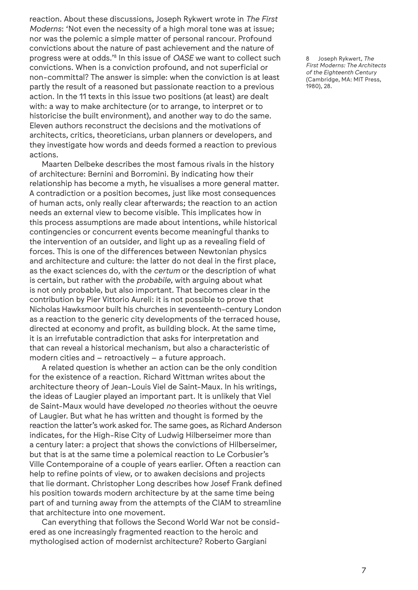reaction. About these discussions, Joseph Rykwert wrote in *The First Moderns*: 'Not even the necessity of a high moral tone was at issue; nor was the polemic a simple matter of personal rancour. Profound convictions about the nature of past achievement and the nature of progress were at odds.'8 In this issue of *OASE* we want to collect such convictions. When is a conviction profound, and not superficial or non-committal? The answer is simple: when the conviction is at least partly the result of a reasoned but passionate reaction to a previous action. In the 11 texts in this issue two positions (at least) are dealt with: a way to make architecture (or to arrange, to interpret or to historicise the built environment), and another way to do the same. Eleven authors reconstruct the decisions and the motivations of architects, critics, theoreticians, urban planners or developers, and they investigate how words and deeds formed a reaction to previous actions.

Maarten Delbeke describes the most famous rivals in the history of architecture: Bernini and Borromini. By indicating how their relationship has become a myth, he visualises a more general matter. A contradiction or a position becomes, just like most consequences of human acts, only really clear afterwards; the reaction to an action needs an external view to become visible. This implicates how in this process assumptions are made about intentions, while historical contingencies or concurrent events become meaningful thanks to the intervention of an outsider, and light up as a revealing field of forces. This is one of the differences between Newtonian physics and architecture and culture: the latter do not deal in the first place, as the exact sciences do, with the *certum* or the description of what is certain, but rather with the *probabile*, with arguing about what is not only probable, but also important. That becomes clear in the contribution by Pier Vittorio Aureli: it is not possible to prove that Nicholas Hawksmoor built his churches in seventeenth-century London as a reaction to the generic city developments of the terraced house, directed at economy and profit, as building block. At the same time, it is an irrefutable contradiction that asks for interpretation and that can reveal a historical mechanism, but also a characteristic of modern cities and – retroactively – a future approach.

A related question is whether an action can be the only condition for the existence of a reaction. Richard Wittman writes about the architecture theory of Jean-Louis Viel de Saint-Maux. In his writings, the ideas of Laugier played an important part. It is unlikely that Viel de Saint-Maux would have developed *no* theories without the oeuvre of Laugier. But what he has written and thought is formed by the reaction the latter's work asked for. The same goes, as Richard Anderson indicates, for the High-Rise City of Ludwig Hilberseimer more than a century later: a project that shows the convictions of Hilberseimer, but that is at the same time a polemical reaction to Le Corbusier's Ville Contemporaine of a couple of years earlier. Often a reaction can help to refine points of view, or to awaken decisions and projects that lie dormant. Christopher Long describes how Josef Frank defined his position towards modern architecture by at the same time being part of and turning away from the attempts of the CIAM to streamline that architecture into one movement.

Can everything that follows the Second World War not be considered as one increasingly fragmented reaction to the heroic and mythologised action of modernist architecture? Roberto Gargiani

8 Joseph Rykwert, *The First Moderns: The Architects of the Eighteenth Century* (Cambridge, MA: MIT Press, 1980), 28.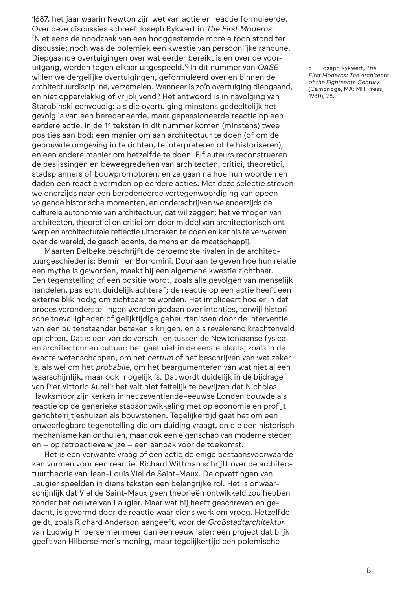1687, het jaar waarin Newton zijn wet van actie en reactie formuleerde. Over deze discussies schreef Joseph Rykwert in *The First Moderns*: 'Niet eens de noodzaak van een hooggestemde morele toon stond ter discussie; noch was de polemiek een kwestie van persoonlijke rancune. Diepgaande overtuigingen over wat eerder bereikt is en over de vooruitgang, werden tegen elkaar uitgespeeld.'8 In dit nummer van *OASE* willen we dergelijke overtuigingen, geformuleerd over en binnen de architectuurdiscipline, verzamelen. Wanneer is zo'n overtuiging diepgaand, en niet oppervlakkig of vrijblijvend? Het antwoord is in navolging van Starobinski eenvoudig: als die overtuiging minstens gedeeltelijk het gevolg is van een beredeneerde, maar gepassioneerde reactie op een eerdere actie. In de 11 teksten in dit nummer komen (minstens) twee posities aan bod: een manier om aan architectuur te doen (of om de gebouwde omgeving in te richten, te interpreteren of te historiseren), en een andere manier om hetzelfde te doen. Elf auteurs reconstrueren de beslissingen en beweegredenen van architecten, critici, theoretici, stadsplanners of bouwpromotoren, en ze gaan na hoe hun woorden en daden een reactie vormden op eerdere acties. Met deze selectie streven we enerzijds naar een beredeneerde vertegenwoordiging van opeenvolgende historische momenten, en onderschrijven we anderzijds de culturele autonomie van architectuur, dat wil zeggen: het vermogen van architecten, theoretici en critici om door middel van architectonisch ontwerp en architecturale reflectie uitspraken te doen en kennis te verwerven over de wereld, de geschiedenis, de mens en de maatschappij.

Maarten Delbeke beschrijft de beroemdste rivalen in de architectuurgeschiedenis: Bernini en Borromini. Door aan te geven hoe hun relatie een mythe is geworden, maakt hij een algemene kwestie zichtbaar. Een tegenstelling of een positie wordt, zoals alle gevolgen van menselijk handelen, pas echt duidelijk achteraf; de reactie op een actie heeft een externe blik nodig om zichtbaar te worden. Het impliceert hoe er in dat proces veronderstellingen worden gedaan over intenties, terwijl historische toevalligheden of gelijktijdige gebeurtenissen door de interventie van een buitenstaander betekenis krijgen, en als revelerend krachtenveld oplichten. Dat is een van de verschillen tussen de Newtoniaanse fysica en architectuur en cultuur: het gaat niet in de eerste plaats, zoals in de exacte wetenschappen, om het *certum* of het beschrijven van wat zeker is, als wel om het *probabile*, om het beargumenteren van wat niet alleen waarschijnlijk, maar ook mogelijk is. Dat wordt duidelijk in de bijdrage van Pier Vittorio Aureli: het valt niet feitelijk te bewijzen dat Nicholas Hawksmoor zijn kerken in het zeventiende-eeuwse Londen bouwde als reactie op de generieke stadsontwikkeling met op economie en profijt gerichte rijtjeshuizen als bouwstenen. Tegelijkertijd gaat het om een onweerlegbare tegenstelling die om duiding vraagt, en die een historisch mechanisme kan onthullen, maar ook een eigenschap van moderne steden en – op retroactieve wijze – een aanpak voor de toekomst.

Het is een verwante vraag of een actie de enige bestaansvoorwaarde kan vormen voor een reactie. Richard Wittman schrijft over de architectuurtheorie van Jean-Louis Viel de Saint-Maux. De opvattingen van Laugier speelden in diens teksten een belangrijke rol. Het is onwaarschijnlijk dat Viel de Saint-Maux *geen* theorieën ontwikkeld zou hebben zonder het oeuvre van Laugier. Maar wat hij heeft geschreven en gedacht, is gevormd door de reactie waar diens werk om vroeg. Hetzelfde geldt, zoals Richard Anderson aangeeft, voor de *Großstadtarchitektur* van Ludwig Hilberseimer meer dan een eeuw later: een project dat blijk geeft van Hilberseimer's mening, maar tegelijkertijd een polemische

8 Joseph Rykwert, *The First Moderns: The Architects of the Eighteenth Century* (Cambridge, MA: MIT Press, 1980), 28.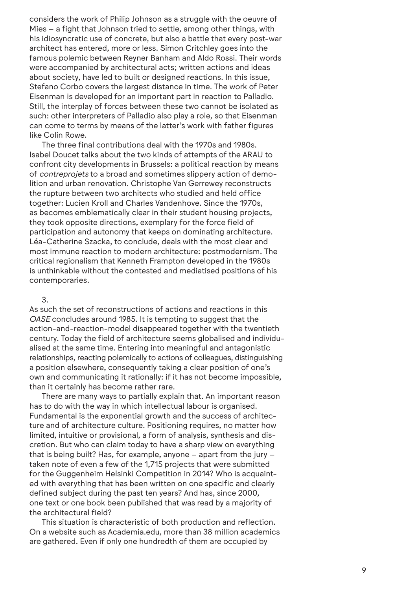considers the work of Philip Johnson as a struggle with the oeuvre of Mies – a fight that Johnson tried to settle, among other things, with his idiosyncratic use of concrete, but also a battle that every post-war architect has entered, more or less. Simon Critchley goes into the famous polemic between Reyner Banham and Aldo Rossi. Their words were accompanied by architectural acts; written actions and ideas about society, have led to built or designed reactions. In this issue, Stefano Corbo covers the largest distance in time. The work of Peter Eisenman is developed for an important part in reaction to Palladio. Still, the interplay of forces between these two cannot be isolated as such: other interpreters of Palladio also play a role, so that Eisenman can come to terms by means of the latter's work with father figures like Colin Rowe.

The three final contributions deal with the 1970s and 1980s. Isabel Doucet talks about the two kinds of attempts of the ARAU to confront city developments in Brussels: a political reaction by means of *contreprojets* to a broad and sometimes slippery action of demolition and urban renovation. Christophe Van Gerrewey reconstructs the rupture between two architects who studied and held office together: Lucien Kroll and Charles Vandenhove. Since the 1970s, as becomes emblematically clear in their student housing projects, they took opposite directions, exemplary for the force field of participation and autonomy that keeps on dominating architecture. Léa-Catherine Szacka, to conclude, deals with the most clear and most immune reaction to modern architecture: postmodernism. The critical regionalism that Kenneth Frampton developed in the 1980s is unthinkable without the contested and mediatised positions of his contemporaries.

#### 3.

As such the set of reconstructions of actions and reactions in this *OASE* concludes around 1985. It is tempting to suggest that the action-and-reaction-model disappeared together with the twentieth century. Today the field of architecture seems globalised and individualised at the same time. Entering into meaningful and antagonistic relationships, reacting polemically to actions of colleagues, distinguishing a position elsewhere, consequently taking a clear position of one's own and communicating it rationally: if it has not become impossible, than it certainly has become rather rare.

There are many ways to partially explain that. An important reason has to do with the way in which intellectual labour is organised. Fundamental is the exponential growth and the success of architecture and of architecture culture. Positioning requires, no matter how limited, intuitive or provisional, a form of analysis, synthesis and discretion. But who can claim today to have a sharp view on everything that is being built? Has, for example, anyone – apart from the jury – taken note of even a few of the 1,715 projects that were submitted for the Guggenheim Helsinki Competition in 2014? Who is acquainted with everything that has been written on one specific and clearly defined subject during the past ten years? And has, since 2000, one text or one book been published that was read by a majority of the architectural field?

This situation is characteristic of both production and reflection. On a website such as Academia.edu, more than 38 million academics are gathered. Even if only one hundredth of them are occupied by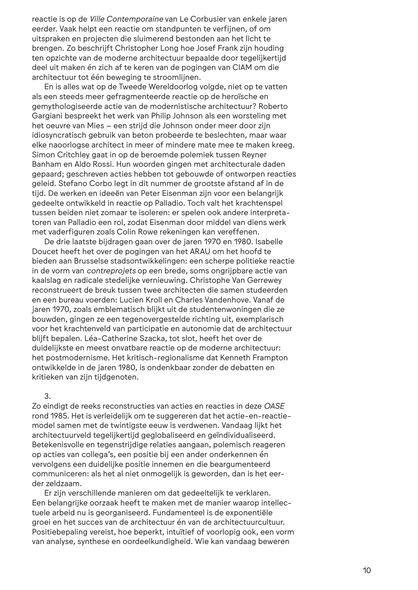reactie is op de *Ville Contemporaine* van Le Corbusier van enkele jaren eerder. Vaak helpt een reactie om standpunten te verfijnen, of om uitspraken en projecten die sluimerend bestonden aan het licht te brengen. Zo beschrijft Christopher Long hoe Josef Frank zijn houding ten opzichte van de moderne architectuur bepaalde door tegelijkertijd deel uit maken én zich af te keren van de pogingen van CIAM om die architectuur tot één beweging te stroomlijnen.

En is alles wat op de Tweede Wereldoorlog volgde, niet op te vatten als een steeds meer gefragmenteerde reactie op de heroïsche en gemythologiseerde actie van de modernistische architectuur? Roberto Gargiani bespreekt het werk van Philip Johnson als een worsteling met het oeuvre van Mies – een strijd die Johnson onder meer door zijn idiosyncratisch gebruik van beton probeerde te beslechten, maar waar elke naoorlogse architect in meer of mindere mate mee te maken kreeg. Simon Critchley gaat in op de beroemde polemiek tussen Reyner Banham en Aldo Rossi. Hun woorden gingen met architecturale daden gepaard; geschreven acties hebben tot gebouwde of ontworpen reacties geleid. Stefano Corbo legt in dit nummer de grootste afstand af in de tijd. De werken en ideeën van Peter Eisenman zijn voor een belangrijk gedeelte ontwikkeld in reactie op Palladio. Toch valt het krachtenspel tussen beiden niet zomaar te isoleren: er spelen ook andere interpretatoren van Palladio een rol, zodat Eisenman door middel van diens werk met vaderfiguren zoals Colin Rowe rekeningen kan vereffenen.

De drie laatste bijdragen gaan over de jaren 1970 en 1980. Isabelle Doucet heeft het over de pogingen van het ARAU om het hoofd te bieden aan Brusselse stadsontwikkelingen: een scherpe politieke reactie in de vorm van *contreprojets* op een brede, soms ongrijpbare actie van kaalslag en radicale stedelijke vernieuwing. Christophe Van Gerrewey reconstrueert de breuk tussen twee architecten die samen studeerden en een bureau voerden: Lucien Kroll en Charles Vandenhove. Vanaf de jaren 1970, zoals emblematisch blijkt uit de studentenwoningen die ze bouwden, gingen ze een tegenovergestelde richting uit, exemplarisch voor het krachtenveld van participatie en autonomie dat de architectuur blijft bepalen. Léa-Catherine Szacka, tot slot, heeft het over de duidelijkste en meest onvatbare reactie op de moderne architectuur: het postmodernisme. Het kritisch-regionalisme dat Kenneth Frampton ontwikkelde in de jaren 1980, is ondenkbaar zonder de debatten en kritieken van zijn tijdgenoten.

### 3.

Zo eindigt de reeks reconstructies van acties en reacties in deze *OASE* rond 1985. Het is verleidelijk om te suggereren dat het actie-en-reactiemodel samen met de twintigste eeuw is verdwenen. Vandaag lijkt het architectuurveld tegelijkertijd geglobaliseerd en geïndividualiseerd. Betekenisvolle en tegenstrijdige relaties aangaan, polemisch reageren op acties van collega's, een positie bij een ander onderkennen én vervolgens een duidelijke positie innemen en die beargumenteerd communiceren: als het al niet onmogelijk is geworden, dan is het eerder zeldzaam.

Er zijn verschillende manieren om dat gedeeltelijk te verklaren. Een belangrijke oorzaak heeft te maken met de manier waarop intellectuele arbeid nu is georganiseerd. Fundamenteel is de exponentiële groei en het succes van de architectuur én van de architectuurcultuur. Positiebepaling vereist, hoe beperkt, intuïtief of voorlopig ook, een vorm van analyse, synthese en oordeelkundigheid. Wie kan vandaag beweren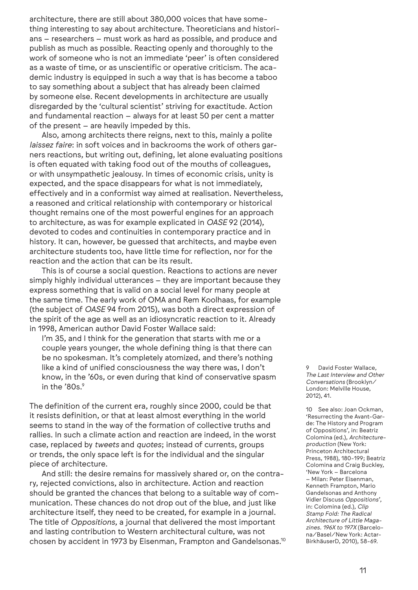architecture, there are still about 380,000 voices that have something interesting to say about architecture. Theoreticians and historians – researchers – must work as hard as possible, and produce and publish as much as possible. Reacting openly and thoroughly to the work of someone who is not an immediate 'peer' is often considered as a waste of time, or as unscientific or operative criticism. The academic industry is equipped in such a way that is has become a taboo to say something about a subject that has already been claimed by someone else. Recent developments in architecture are usually disregarded by the 'cultural scientist' striving for exactitude. Action and fundamental reaction – always for at least 50 per cent a matter of the present – are heavily impeded by this.

Also, among architects there reigns, next to this, mainly a polite *laissez faire*: in soft voices and in backrooms the work of others garners reactions, but writing out, defining, let alone evaluating positions is often equated with taking food out of the mouths of colleagues, or with unsympathetic jealousy. In times of economic crisis, unity is expected, and the space disappears for what is not immediately, effectively and in a conformist way aimed at realisation. Nevertheless, a reasoned and critical relationship with contemporary or historical thought remains one of the most powerful engines for an approach to architecture, as was for example explicated in *OASE* 92 (2014), devoted to codes and continuities in contemporary practice and in history. It can, however, be guessed that architects, and maybe even architecture students too, have little time for reflection, nor for the reaction and the action that can be its result.

This is of course a social question. Reactions to actions are never simply highly individual utterances – they are important because they express something that is valid on a social level for many people at the same time. The early work of OMA and Rem Koolhaas, for example (the subject of *OASE* 94 from 2015), was both a direct expression of the spirit of the age as well as an idiosyncratic reaction to it. Already in 1998, American author David Foster Wallace said:

I'm 35, and I think for the generation that starts with me or a couple years younger, the whole defining thing is that there can be no spokesman. It's completely atomized, and there's nothing like a kind of unified consciousness the way there was, I don't know, in the '60s, or even during that kind of conservative spasm in the '80s.<sup>9</sup>

The definition of the current era, roughly since 2000, could be that it resists definition, or that at least almost everything in the world seems to stand in the way of the formation of collective truths and rallies. In such a climate action and reaction are indeed, in the worst case, replaced by *tweets* and *quotes*; instead of currents, groups or trends, the only space left is for the individual and the singular piece of architecture.

And still: the desire remains for massively shared or, on the contrary, rejected convictions, also in architecture. Action and reaction should be granted the chances that belong to a suitable way of communication. These chances do not drop out of the blue, and just like architecture itself, they need to be created, for example in a journal. The title of *Oppositions*, a journal that delivered the most important and lasting contribution to Western architectural culture, was not chosen by accident in 1973 by Eisenman, Frampton and Gandelsonas.10 9 David Foster Wallace, *The Last Interview and Other Conversations* (Brooklyn/ London: Melville House, 2012), 41.

10 See also: Joan Ockman, 'Resurrecting the Avant-Garde: The History and Program of Oppositions', in: Beatriz Colomina (ed.), *Architectureproduction* (New York: Princeton Architectural Press, 1988), 180-199; Beatriz Colomina and Craig Buckley, 'New York – Barcelona – Milan: Peter Eisenman, Kenneth Frampton, Mario Gandelsonas and Anthony Vidler Discuss *Oppositions*', in: Colomina (ed.), *Clip Stamp Fold: The Radical Architecture of Little Magazines. 196X to 197X* (Barcelona/Basel/New York: Actar-BirkhäuserD, 2010), 58-69.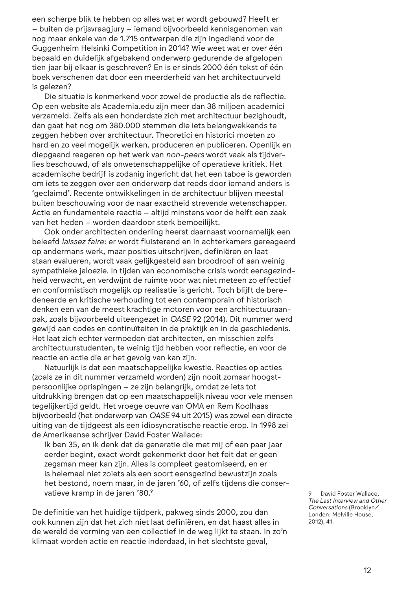een scherpe blik te hebben op alles wat er wordt gebouwd? Heeft er – buiten de prijsvraagjury – iemand bijvoorbeeld kennisgenomen van nog maar enkele van de 1.715 ontwerpen die zijn ingediend voor de Guggenheim Helsinki Competition in 2014? Wie weet wat er over één bepaald en duidelijk afgebakend onderwerp gedurende de afgelopen tien jaar bij elkaar is geschreven? En is er sinds 2000 één tekst of één boek verschenen dat door een meerderheid van het architectuurveld is gelezen?

Die situatie is kenmerkend voor zowel de productie als de reflectie. Op een website als Academia.edu zijn meer dan 38 miljoen academici verzameld. Zelfs als een honderdste zich met architectuur bezighoudt, dan gaat het nog om 380.000 stemmen die iets belangwekkends te zeggen hebben over architectuur. Theoretici en historici moeten zo hard en zo veel mogelijk werken, produceren en publiceren. Openlijk en diepgaand reageren op het werk van *non-peers* wordt vaak als tijdverlies beschouwd, of als onwetenschappelijke of operatieve kritiek. Het academische bedrijf is zodanig ingericht dat het een taboe is geworden om iets te zeggen over een onderwerp dat reeds door iemand anders is 'geclaimd'. Recente ontwikkelingen in de architectuur blijven meestal buiten beschouwing voor de naar exactheid strevende wetenschapper. Actie en fundamentele reactie – altijd minstens voor de helft een zaak van het heden – worden daardoor sterk bemoeilijkt.

Ook onder architecten onderling heerst daarnaast voornamelijk een beleefd *laissez faire*: er wordt fluisterend en in achterkamers gereageerd op andermans werk, maar posities uitschrijven, definiëren en laat staan evalueren, wordt vaak gelijkgesteld aan broodroof of aan weinig sympathieke jaloezie. In tijden van economische crisis wordt eensgezindheid verwacht, en verdwijnt de ruimte voor wat niet meteen zo effectief en conformistisch mogelijk op realisatie is gericht. Toch blijft de beredeneerde en kritische verhouding tot een contemporain of historisch denken een van de meest krachtige motoren voor een architectuuraanpak, zoals bijvoorbeeld uiteengezet in *OASE* 92 (2014). Dit nummer werd gewijd aan codes en continuïteiten in de praktijk en in de geschiedenis. Het laat zich echter vermoeden dat architecten, en misschien zelfs architectuurstudenten, te weinig tijd hebben voor reflectie, en voor de reactie en actie die er het gevolg van kan zijn.

Natuurlijk is dat een maatschappelijke kwestie. Reacties op acties (zoals ze in dit nummer verzameld worden) zijn nooit zomaar hoogstpersoonlijke oprispingen – ze zijn belangrijk, omdat ze iets tot uitdrukking brengen dat op een maatschappelijk niveau voor vele mensen tegelijkertijd geldt. Het vroege oeuvre van OMA en Rem Koolhaas bijvoorbeeld (het onderwerp van *OASE* 94 uit 2015) was zowel een directe uiting van de tijdgeest als een idiosyncratische reactie erop. In 1998 zei de Amerikaanse schrijver David Foster Wallace:

Ik ben 35, en ik denk dat de generatie die met mij of een paar jaar eerder begint, exact wordt gekenmerkt door het feit dat er geen zegsman meer kan zijn. Alles is compleet geatomiseerd, en er is helemaal niet zoiets als een soort eensgezind bewustzijn zoals het bestond, noem maar, in de jaren '60, of zelfs tijdens die conservatieve kramp in de jaren '80.9

De definitie van het huidige tijdperk, pakweg sinds 2000, zou dan ook kunnen zijn dat het zich niet laat definiëren, en dat haast alles in de wereld de vorming van een collectief in de weg lijkt te staan. In zo'n klimaat worden actie en reactie inderdaad, in het slechtste geval,

David Foster Wallace, *The Last Interview and Other Conversations* (Brooklyn/ Londen: Melville House, 2012), 41.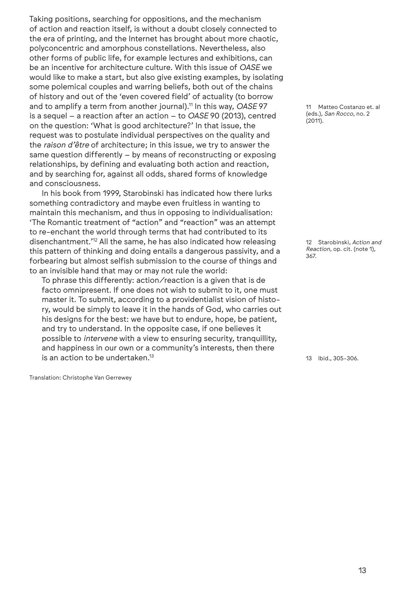Taking positions, searching for oppositions, and the mechanism of action and reaction itself, is without a doubt closely connected to the era of printing, and the Internet has brought about more chaotic, polyconcentric and amorphous constellations. Nevertheless, also other forms of public life, for example lectures and exhibitions, can be an incentive for architecture culture. With this issue of *OASE* we would like to make a start, but also give existing examples, by isolating some polemical couples and warring beliefs, both out of the chains of history and out of the 'even covered field' of actuality (to borrow and to amplify a term from another journal).11 In this way, *OASE* 97 is a sequel – a reaction after an action – to *OASE* 90 (2013), centred on the question: 'What is good architecture?' In that issue, the request was to postulate individual perspectives on the quality and the *raison d'être* of architecture; in this issue, we try to answer the same question differently – by means of reconstructing or exposing relationships, by defining and evaluating both action and reaction, and by searching for, against all odds, shared forms of knowledge and consciousness.

In his book from 1999, Starobinski has indicated how there lurks something contradictory and maybe even fruitless in wanting to maintain this mechanism, and thus in opposing to individualisation: 'The Romantic treatment of "action" and "reaction" was an attempt to re-enchant the world through terms that had contributed to its disenchantment.'12 All the same, he has also indicated how releasing this pattern of thinking and doing entails a dangerous passivity, and a forbearing but almost selfish submission to the course of things and to an invisible hand that may or may not rule the world:

To phrase this differently: action/reaction is a given that is de facto omnipresent. If one does not wish to submit to it, one must master it. To submit, according to a providentialist vision of history, would be simply to leave it in the hands of God, who carries out his designs for the best: we have but to endure, hope, be patient, and try to understand. In the opposite case, if one believes it possible to *intervene* with a view to ensuring security, tranquillity, and happiness in our own or a community's interests, then there is an action to be undertaken.13

Translation: Christophe Van Gerrewey

11 Matteo Costanzo et. al (eds.), *San Rocco*, no. 2  $(2011)$ .

12 Starobinski, *Action and Reaction*, op. cit. (note 1), 367.

13 Ibid., 305-306.